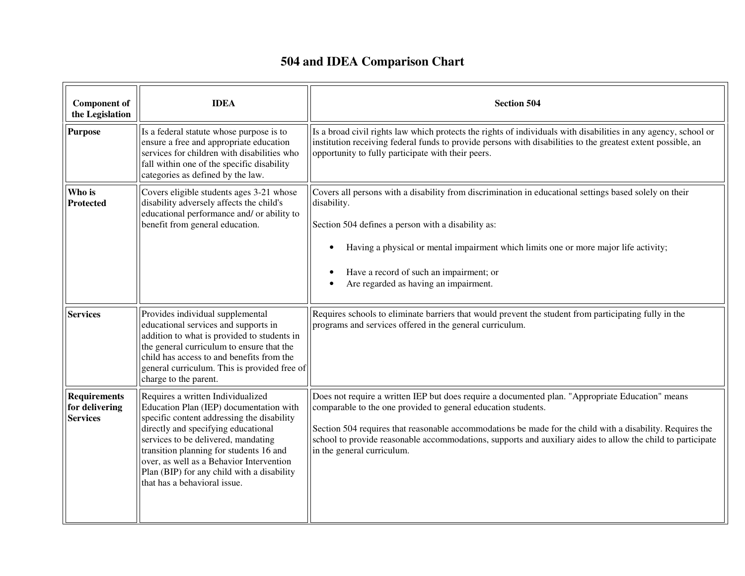## **504 and IDEA Comparison Chart**

| <b>Component of</b><br>the Legislation                   | <b>IDEA</b>                                                                                                                                                                                                                                                                                                                                                                   | <b>Section 504</b>                                                                                                                                                                                                                                                                                                                                                                                                          |
|----------------------------------------------------------|-------------------------------------------------------------------------------------------------------------------------------------------------------------------------------------------------------------------------------------------------------------------------------------------------------------------------------------------------------------------------------|-----------------------------------------------------------------------------------------------------------------------------------------------------------------------------------------------------------------------------------------------------------------------------------------------------------------------------------------------------------------------------------------------------------------------------|
| <b>Purpose</b>                                           | Is a federal statute whose purpose is to<br>ensure a free and appropriate education<br>services for children with disabilities who<br>fall within one of the specific disability<br>categories as defined by the law.                                                                                                                                                         | Is a broad civil rights law which protects the rights of individuals with disabilities in any agency, school or<br>institution receiving federal funds to provide persons with disabilities to the greatest extent possible, an<br>opportunity to fully participate with their peers.                                                                                                                                       |
| Who is<br><b>Protected</b>                               | Covers eligible students ages 3-21 whose<br>disability adversely affects the child's<br>educational performance and/ or ability to<br>benefit from general education.                                                                                                                                                                                                         | Covers all persons with a disability from discrimination in educational settings based solely on their<br>disability.<br>Section 504 defines a person with a disability as:<br>Having a physical or mental impairment which limits one or more major life activity;<br>Have a record of such an impairment; or<br>Are regarded as having an impairment.                                                                     |
| <b>Services</b>                                          | Provides individual supplemental<br>educational services and supports in<br>addition to what is provided to students in<br>the general curriculum to ensure that the<br>child has access to and benefits from the<br>general curriculum. This is provided free of<br>charge to the parent.                                                                                    | Requires schools to eliminate barriers that would prevent the student from participating fully in the<br>programs and services offered in the general curriculum.                                                                                                                                                                                                                                                           |
| <b>Requirements</b><br>for delivering<br><b>Services</b> | Requires a written Individualized<br>Education Plan (IEP) documentation with<br>specific content addressing the disability<br>directly and specifying educational<br>services to be delivered, mandating<br>transition planning for students 16 and<br>over, as well as a Behavior Intervention<br>Plan (BIP) for any child with a disability<br>that has a behavioral issue. | Does not require a written IEP but does require a documented plan. "Appropriate Education" means<br>comparable to the one provided to general education students.<br>Section 504 requires that reasonable accommodations be made for the child with a disability. Requires the<br>school to provide reasonable accommodations, supports and auxiliary aides to allow the child to participate<br>in the general curriculum. |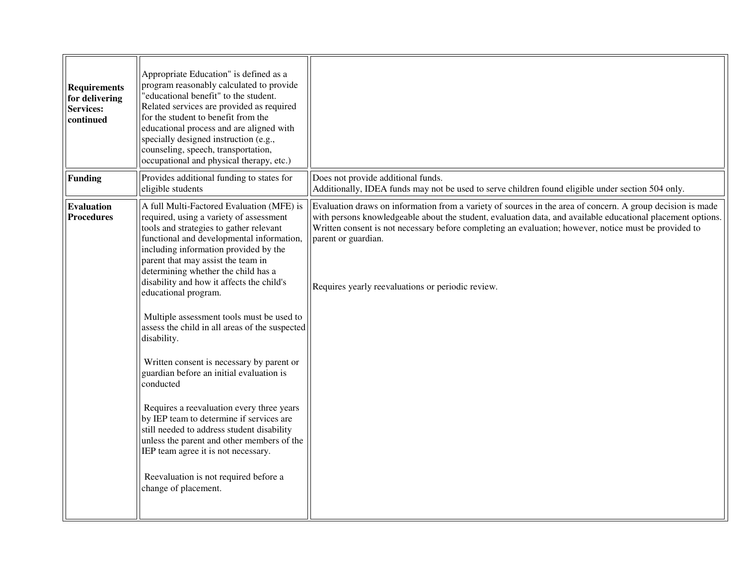| <b>Requirements</b><br>for delivering<br><b>Services:</b><br>continued | Appropriate Education" is defined as a<br>program reasonably calculated to provide<br>'educational benefit" to the student.<br>Related services are provided as required<br>for the student to benefit from the<br>educational process and are aligned with<br>specially designed instruction (e.g.,<br>counseling, speech, transportation,<br>occupational and physical therapy, etc.)                                                                                                                                                                                                                                                                                                                                                                                                                                                                                                  |                                                                                                                                                                                                                                                                                                                                                                                                                |
|------------------------------------------------------------------------|------------------------------------------------------------------------------------------------------------------------------------------------------------------------------------------------------------------------------------------------------------------------------------------------------------------------------------------------------------------------------------------------------------------------------------------------------------------------------------------------------------------------------------------------------------------------------------------------------------------------------------------------------------------------------------------------------------------------------------------------------------------------------------------------------------------------------------------------------------------------------------------|----------------------------------------------------------------------------------------------------------------------------------------------------------------------------------------------------------------------------------------------------------------------------------------------------------------------------------------------------------------------------------------------------------------|
| <b>Funding</b>                                                         | Provides additional funding to states for<br>eligible students                                                                                                                                                                                                                                                                                                                                                                                                                                                                                                                                                                                                                                                                                                                                                                                                                           | Does not provide additional funds.<br>Additionally, IDEA funds may not be used to serve children found eligible under section 504 only.                                                                                                                                                                                                                                                                        |
| <b>Evaluation</b><br><b>Procedures</b>                                 | A full Multi-Factored Evaluation (MFE) is<br>required, using a variety of assessment<br>tools and strategies to gather relevant<br>functional and developmental information,<br>including information provided by the<br>parent that may assist the team in<br>determining whether the child has a<br>disability and how it affects the child's<br>educational program.<br>Multiple assessment tools must be used to<br>assess the child in all areas of the suspected<br>disability.<br>Written consent is necessary by parent or<br>guardian before an initial evaluation is<br>conducted<br>Requires a reevaluation every three years<br>by IEP team to determine if services are<br>still needed to address student disability<br>unless the parent and other members of the<br>IEP team agree it is not necessary.<br>Reevaluation is not required before a<br>change of placement. | Evaluation draws on information from a variety of sources in the area of concern. A group decision is made<br>with persons knowledgeable about the student, evaluation data, and available educational placement options.<br>Written consent is not necessary before completing an evaluation; however, notice must be provided to<br>parent or guardian.<br>Requires yearly reevaluations or periodic review. |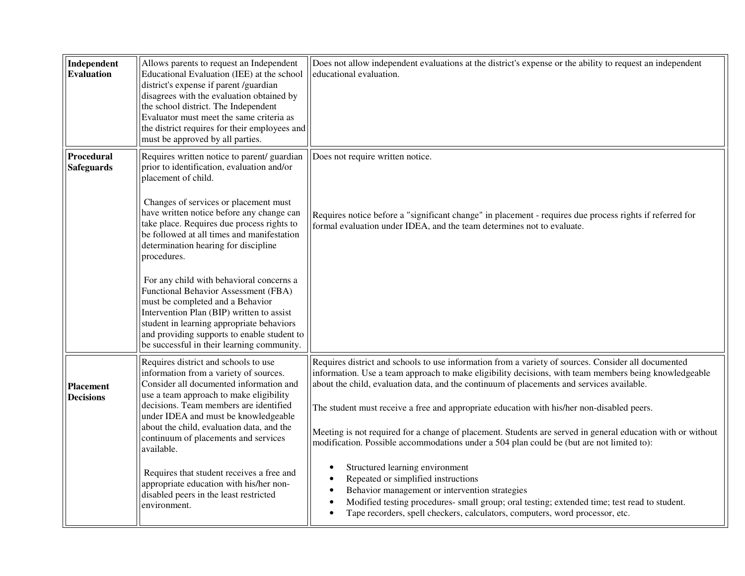| Independent<br>Evaluation              | Allows parents to request an Independent<br>Educational Evaluation (IEE) at the school<br>district's expense if parent /guardian<br>disagrees with the evaluation obtained by<br>the school district. The Independent<br>Evaluator must meet the same criteria as<br>the district requires for their employees and<br>must be approved by all parties. | Does not allow independent evaluations at the district's expense or the ability to request an independent<br>educational evaluation.                                                                                                                                                                                                                                                                    |
|----------------------------------------|--------------------------------------------------------------------------------------------------------------------------------------------------------------------------------------------------------------------------------------------------------------------------------------------------------------------------------------------------------|---------------------------------------------------------------------------------------------------------------------------------------------------------------------------------------------------------------------------------------------------------------------------------------------------------------------------------------------------------------------------------------------------------|
| <b>Procedural</b><br><b>Safeguards</b> | Requires written notice to parent/ guardian<br>prior to identification, evaluation and/or<br>placement of child.                                                                                                                                                                                                                                       | Does not require written notice.                                                                                                                                                                                                                                                                                                                                                                        |
|                                        | Changes of services or placement must<br>have written notice before any change can<br>take place. Requires due process rights to<br>be followed at all times and manifestation<br>determination hearing for discipline<br>procedures.                                                                                                                  | Requires notice before a "significant change" in placement - requires due process rights if referred for<br>formal evaluation under IDEA, and the team determines not to evaluate.                                                                                                                                                                                                                      |
|                                        | For any child with behavioral concerns a<br>Functional Behavior Assessment (FBA)<br>must be completed and a Behavior<br>Intervention Plan (BIP) written to assist<br>student in learning appropriate behaviors<br>and providing supports to enable student to<br>be successful in their learning community.                                            |                                                                                                                                                                                                                                                                                                                                                                                                         |
| <b>Placement</b><br><b>Decisions</b>   | Requires district and schools to use<br>information from a variety of sources.<br>Consider all documented information and<br>use a team approach to make eligibility<br>decisions. Team members are identified<br>under IDEA and must be knowledgeable<br>about the child, evaluation data, and the                                                    | Requires district and schools to use information from a variety of sources. Consider all documented<br>information. Use a team approach to make eligibility decisions, with team members being knowledgeable<br>about the child, evaluation data, and the continuum of placements and services available.<br>The student must receive a free and appropriate education with his/her non-disabled peers. |
|                                        | continuum of placements and services<br>available.                                                                                                                                                                                                                                                                                                     | Meeting is not required for a change of placement. Students are served in general education with or without<br>modification. Possible accommodations under a 504 plan could be (but are not limited to):                                                                                                                                                                                                |
|                                        | Requires that student receives a free and<br>appropriate education with his/her non-<br>disabled peers in the least restricted<br>environment.                                                                                                                                                                                                         | Structured learning environment<br>Repeated or simplified instructions<br>Behavior management or intervention strategies<br>Modified testing procedures- small group; oral testing; extended time; test read to student.<br>Tape recorders, spell checkers, calculators, computers, word processor, etc.                                                                                                |